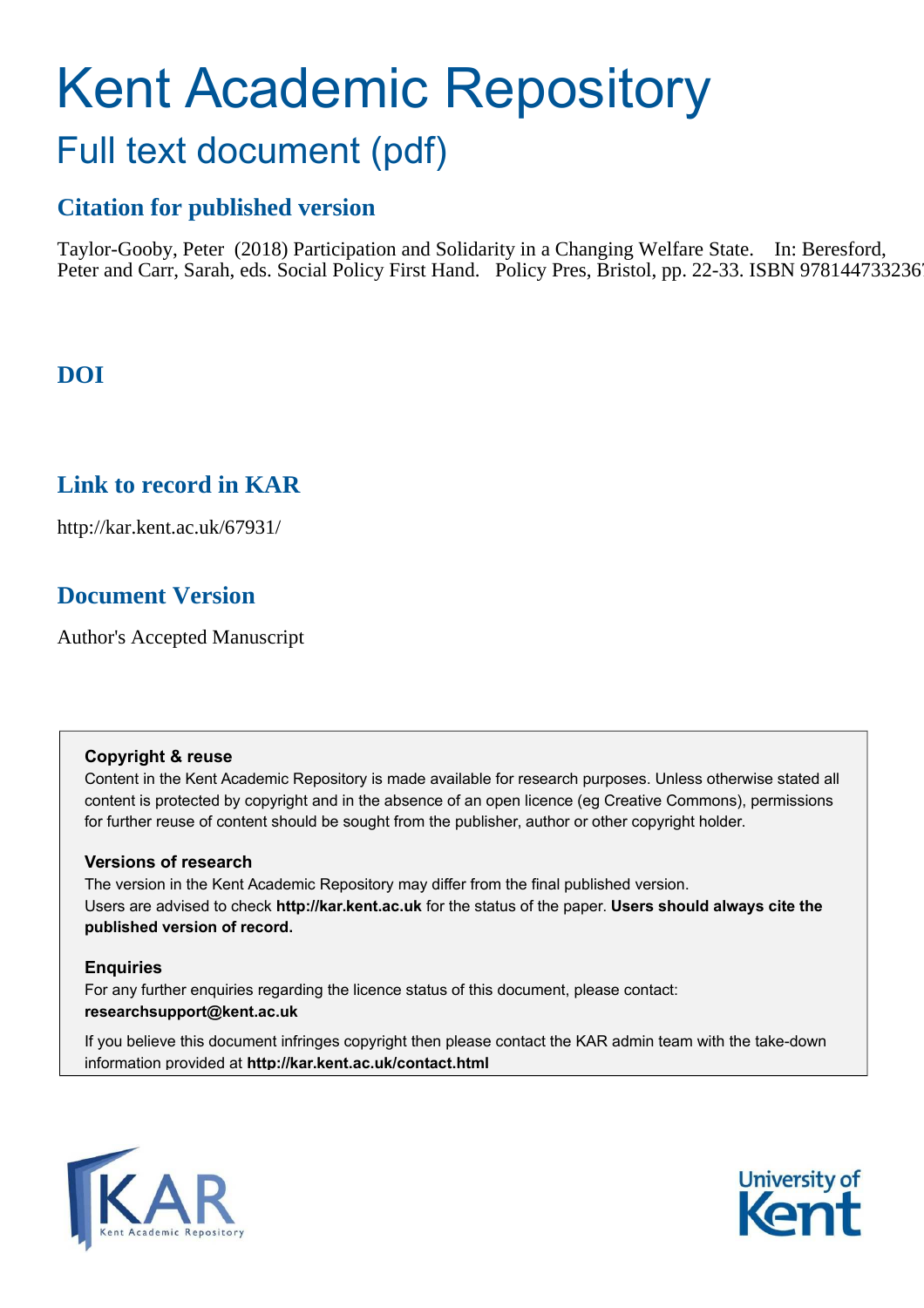# Kent Academic Repository Full text document (pdf)

# **Citation for published version**

Taylor-Gooby, Peter (2018) Participation and Solidarity in a Changing Welfare State. In: Beresford, Peter and Carr, Sarah, eds. Social Policy First Hand. Policy Pres, Bristol, pp. 22-33. ISBN 9781447332367

## **DOI**

## **Link to record in KAR**

http://kar.kent.ac.uk/67931/

## **Document Version**

Author's Accepted Manuscript

#### **Copyright & reuse**

Content in the Kent Academic Repository is made available for research purposes. Unless otherwise stated all content is protected by copyright and in the absence of an open licence (eg Creative Commons), permissions for further reuse of content should be sought from the publisher, author or other copyright holder.

#### **Versions of research**

The version in the Kent Academic Repository may differ from the final published version. Users are advised to check **http://kar.kent.ac.uk** for the status of the paper. **Users should always cite the published version of record.**

#### **Enquiries**

For any further enquiries regarding the licence status of this document, please contact: **researchsupport@kent.ac.uk**

If you believe this document infringes copyright then please contact the KAR admin team with the take-down information provided at **http://kar.kent.ac.uk/contact.html**



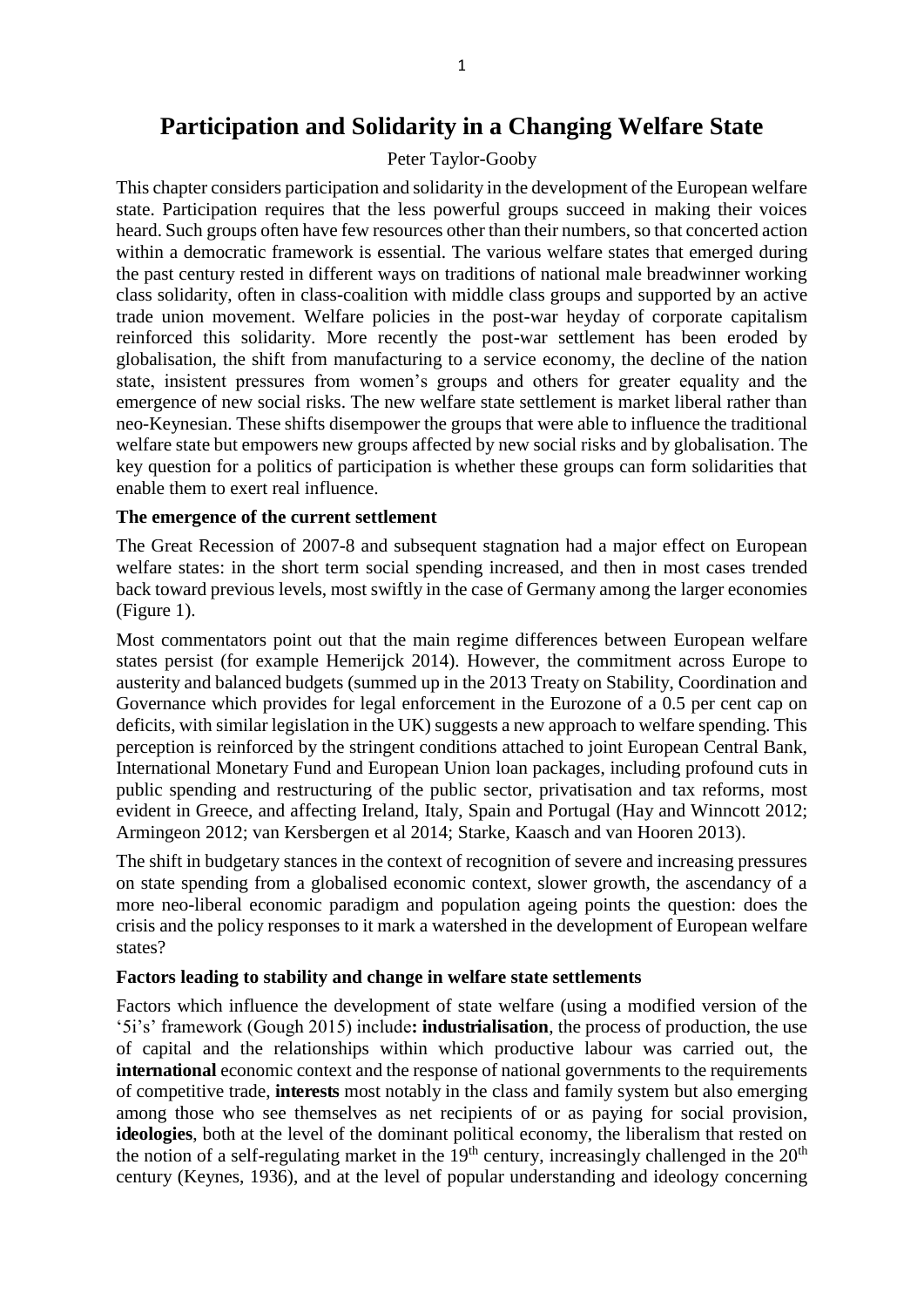## **Participation and Solidarity in a Changing Welfare State**

#### Peter Taylor-Gooby

This chapter considers participation and solidarity in the development of the European welfare state. Participation requires that the less powerful groups succeed in making their voices heard. Such groups often have few resources other than their numbers, so that concerted action within a democratic framework is essential. The various welfare states that emerged during the past century rested in different ways on traditions of national male breadwinner working class solidarity, often in class-coalition with middle class groups and supported by an active trade union movement. Welfare policies in the post-war heyday of corporate capitalism reinforced this solidarity. More recently the post-war settlement has been eroded by globalisation, the shift from manufacturing to a service economy, the decline of the nation state, insistent pressures from women's groups and others for greater equality and the emergence of new social risks. The new welfare state settlement is market liberal rather than neo-Keynesian. These shifts disempower the groups that were able to influence the traditional welfare state but empowers new groups affected by new social risks and by globalisation. The key question for a politics of participation is whether these groups can form solidarities that enable them to exert real influence.

#### **The emergence of the current settlement**

The Great Recession of 2007-8 and subsequent stagnation had a major effect on European welfare states: in the short term social spending increased, and then in most cases trended back toward previous levels, most swiftly in the case of Germany among the larger economies (Figure 1).

Most commentators point out that the main regime differences between European welfare states persist (for example Hemerijck 2014). However, the commitment across Europe to austerity and balanced budgets (summed up in the 2013 Treaty on Stability, Coordination and Governance which provides for legal enforcement in the Eurozone of a 0.5 per cent cap on deficits, with similar legislation in the UK) suggests a new approach to welfare spending. This perception is reinforced by the stringent conditions attached to joint European Central Bank, International Monetary Fund and European Union loan packages, including profound cuts in public spending and restructuring of the public sector, privatisation and tax reforms, most evident in Greece, and affecting Ireland, Italy, Spain and Portugal (Hay and Winncott 2012; Armingeon 2012; van Kersbergen et al 2014; Starke, Kaasch and van Hooren 2013).

The shift in budgetary stances in the context of recognition of severe and increasing pressures on state spending from a globalised economic context, slower growth, the ascendancy of a more neo-liberal economic paradigm and population ageing points the question: does the crisis and the policy responses to it mark a watershed in the development of European welfare states?

#### **Factors leading to stability and change in welfare state settlements**

Factors which influence the development of state welfare (using a modified version of the '5i's' framework (Gough 2015) include**: industrialisation**, the process of production, the use of capital and the relationships within which productive labour was carried out, the **international** economic context and the response of national governments to the requirements of competitive trade, **interests** most notably in the class and family system but also emerging among those who see themselves as net recipients of or as paying for social provision, **ideologies**, both at the level of the dominant political economy, the liberalism that rested on the notion of a self-regulating market in the  $19<sup>th</sup>$  century, increasingly challenged in the  $20<sup>th</sup>$ century (Keynes, 1936), and at the level of popular understanding and ideology concerning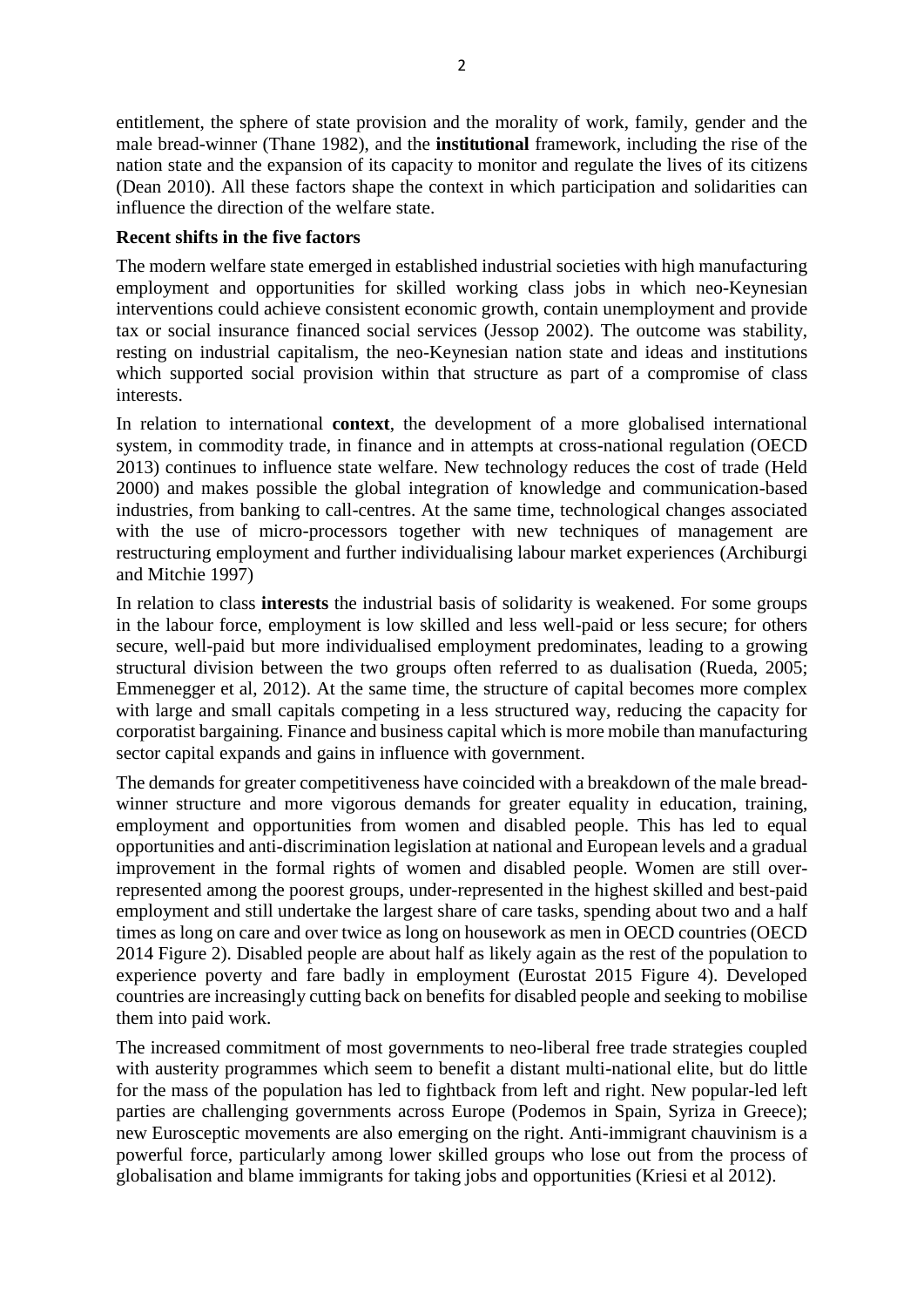entitlement, the sphere of state provision and the morality of work, family, gender and the male bread-winner (Thane 1982), and the **institutional** framework, including the rise of the nation state and the expansion of its capacity to monitor and regulate the lives of its citizens (Dean 2010). All these factors shape the context in which participation and solidarities can influence the direction of the welfare state.

#### **Recent shifts in the five factors**

The modern welfare state emerged in established industrial societies with high manufacturing employment and opportunities for skilled working class jobs in which neo-Keynesian interventions could achieve consistent economic growth, contain unemployment and provide tax or social insurance financed social services (Jessop 2002). The outcome was stability, resting on industrial capitalism, the neo-Keynesian nation state and ideas and institutions which supported social provision within that structure as part of a compromise of class interests.

In relation to international **context**, the development of a more globalised international system, in commodity trade, in finance and in attempts at cross-national regulation (OECD 2013) continues to influence state welfare. New technology reduces the cost of trade (Held 2000) and makes possible the global integration of knowledge and communication-based industries, from banking to call-centres. At the same time, technological changes associated with the use of micro-processors together with new techniques of management are restructuring employment and further individualising labour market experiences (Archiburgi and Mitchie 1997)

In relation to class **interests** the industrial basis of solidarity is weakened. For some groups in the labour force, employment is low skilled and less well-paid or less secure; for others secure, well-paid but more individualised employment predominates, leading to a growing structural division between the two groups often referred to as dualisation (Rueda, 2005; Emmenegger et al, 2012). At the same time, the structure of capital becomes more complex with large and small capitals competing in a less structured way, reducing the capacity for corporatist bargaining. Finance and business capital which is more mobile than manufacturing sector capital expands and gains in influence with government.

The demands for greater competitiveness have coincided with a breakdown of the male breadwinner structure and more vigorous demands for greater equality in education, training, employment and opportunities from women and disabled people. This has led to equal opportunities and anti-discrimination legislation at national and European levels and a gradual improvement in the formal rights of women and disabled people. Women are still overrepresented among the poorest groups, under-represented in the highest skilled and best-paid employment and still undertake the largest share of care tasks, spending about two and a half times as long on care and over twice as long on housework as men in OECD countries (OECD 2014 Figure 2). Disabled people are about half as likely again as the rest of the population to experience poverty and fare badly in employment (Eurostat 2015 Figure 4). Developed countries are increasingly cutting back on benefits for disabled people and seeking to mobilise them into paid work.

The increased commitment of most governments to neo-liberal free trade strategies coupled with austerity programmes which seem to benefit a distant multi-national elite, but do little for the mass of the population has led to fightback from left and right. New popular-led left parties are challenging governments across Europe (Podemos in Spain, Syriza in Greece); new Eurosceptic movements are also emerging on the right. Anti-immigrant chauvinism is a powerful force, particularly among lower skilled groups who lose out from the process of globalisation and blame immigrants for taking jobs and opportunities (Kriesi et al 2012).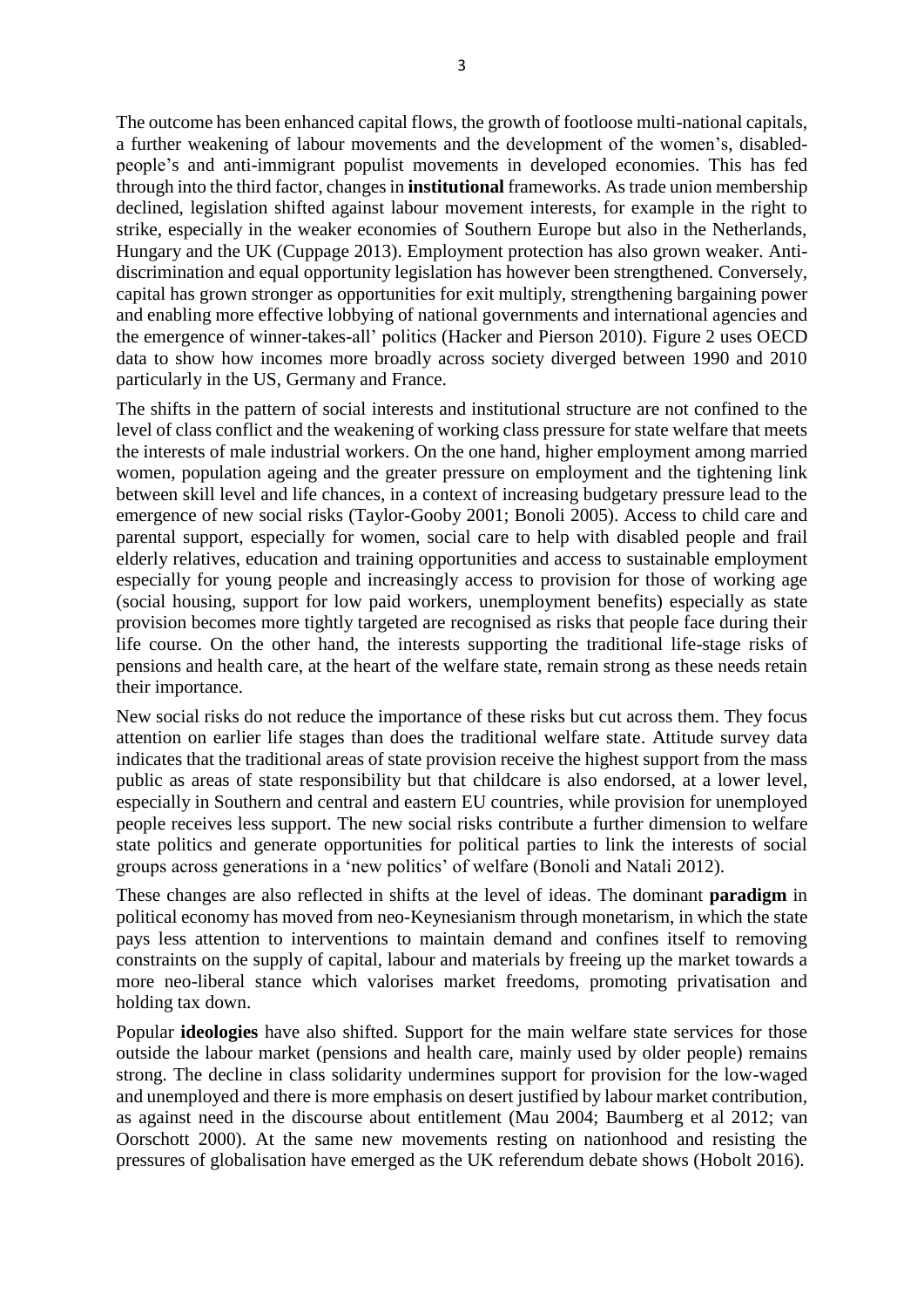The outcome has been enhanced capital flows, the growth of footloose multi-national capitals, a further weakening of labour movements and the development of the women's, disabledpeople's and anti-immigrant populist movements in developed economies. This has fed through into the third factor, changes in **institutional** frameworks. As trade union membership declined, legislation shifted against labour movement interests, for example in the right to strike, especially in the weaker economies of Southern Europe but also in the Netherlands, Hungary and the UK (Cuppage 2013). Employment protection has also grown weaker. Antidiscrimination and equal opportunity legislation has however been strengthened. Conversely, capital has grown stronger as opportunities for exit multiply, strengthening bargaining power and enabling more effective lobbying of national governments and international agencies and the emergence of winner-takes-all' politics (Hacker and Pierson 2010). Figure 2 uses OECD data to show how incomes more broadly across society diverged between 1990 and 2010 particularly in the US, Germany and France.

The shifts in the pattern of social interests and institutional structure are not confined to the level of class conflict and the weakening of working class pressure for state welfare that meets the interests of male industrial workers. On the one hand, higher employment among married women, population ageing and the greater pressure on employment and the tightening link between skill level and life chances, in a context of increasing budgetary pressure lead to the emergence of new social risks (Taylor-Gooby 2001; Bonoli 2005). Access to child care and parental support, especially for women, social care to help with disabled people and frail elderly relatives, education and training opportunities and access to sustainable employment especially for young people and increasingly access to provision for those of working age (social housing, support for low paid workers, unemployment benefits) especially as state provision becomes more tightly targeted are recognised as risks that people face during their life course. On the other hand, the interests supporting the traditional life-stage risks of pensions and health care, at the heart of the welfare state, remain strong as these needs retain their importance.

New social risks do not reduce the importance of these risks but cut across them. They focus attention on earlier life stages than does the traditional welfare state. Attitude survey data indicates that the traditional areas of state provision receive the highest support from the mass public as areas of state responsibility but that childcare is also endorsed, at a lower level, especially in Southern and central and eastern EU countries, while provision for unemployed people receives less support. The new social risks contribute a further dimension to welfare state politics and generate opportunities for political parties to link the interests of social groups across generations in a 'new politics' of welfare (Bonoli and Natali 2012).

These changes are also reflected in shifts at the level of ideas. The dominant **paradigm** in political economy has moved from neo-Keynesianism through monetarism, in which the state pays less attention to interventions to maintain demand and confines itself to removing constraints on the supply of capital, labour and materials by freeing up the market towards a more neo-liberal stance which valorises market freedoms, promoting privatisation and holding tax down.

Popular **ideologies** have also shifted. Support for the main welfare state services for those outside the labour market (pensions and health care, mainly used by older people) remains strong. The decline in class solidarity undermines support for provision for the low-waged and unemployed and there is more emphasis on desert justified by labour market contribution, as against need in the discourse about entitlement (Mau 2004; Baumberg et al 2012; van Oorschott 2000). At the same new movements resting on nationhood and resisting the pressures of globalisation have emerged as the UK referendum debate shows (Hobolt 2016).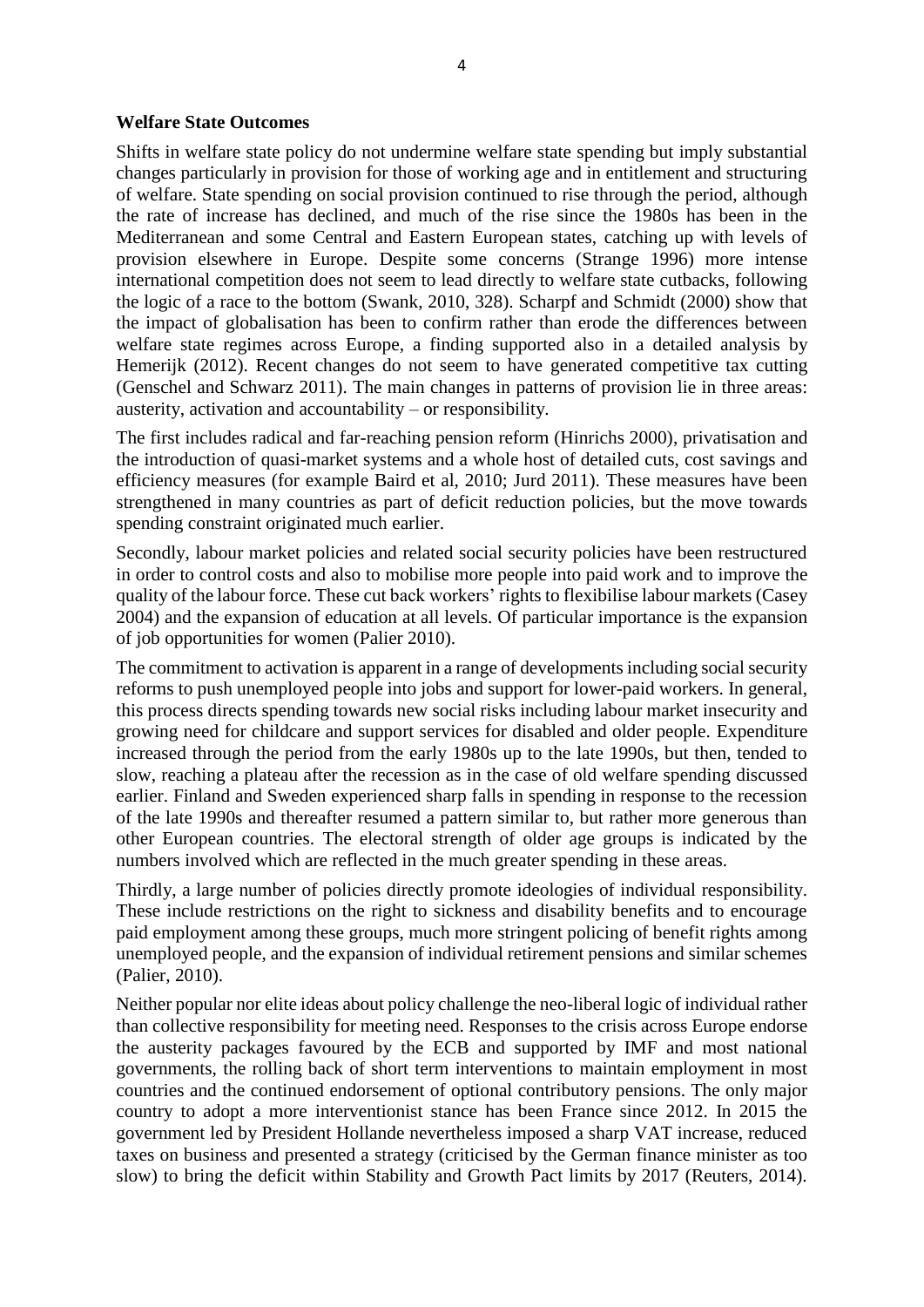#### **Welfare State Outcomes**

Shifts in welfare state policy do not undermine welfare state spending but imply substantial changes particularly in provision for those of working age and in entitlement and structuring of welfare. State spending on social provision continued to rise through the period, although the rate of increase has declined, and much of the rise since the 1980s has been in the Mediterranean and some Central and Eastern European states, catching up with levels of provision elsewhere in Europe. Despite some concerns (Strange 1996) more intense international competition does not seem to lead directly to welfare state cutbacks, following the logic of a race to the bottom (Swank, 2010, 328). Scharpf and Schmidt (2000) show that the impact of globalisation has been to confirm rather than erode the differences between welfare state regimes across Europe, a finding supported also in a detailed analysis by Hemerijk (2012). Recent changes do not seem to have generated competitive tax cutting (Genschel and Schwarz 2011). The main changes in patterns of provision lie in three areas: austerity, activation and accountability – or responsibility.

The first includes radical and far-reaching pension reform (Hinrichs 2000), privatisation and the introduction of quasi-market systems and a whole host of detailed cuts, cost savings and efficiency measures (for example Baird et al, 2010; Jurd 2011). These measures have been strengthened in many countries as part of deficit reduction policies, but the move towards spending constraint originated much earlier.

Secondly, labour market policies and related social security policies have been restructured in order to control costs and also to mobilise more people into paid work and to improve the quality of the labour force. These cut back workers' rights to flexibilise labour markets (Casey 2004) and the expansion of education at all levels. Of particular importance is the expansion of job opportunities for women (Palier 2010).

The commitment to activation is apparent in a range of developments including social security reforms to push unemployed people into jobs and support for lower-paid workers. In general, this process directs spending towards new social risks including labour market insecurity and growing need for childcare and support services for disabled and older people. Expenditure increased through the period from the early 1980s up to the late 1990s, but then, tended to slow, reaching a plateau after the recession as in the case of old welfare spending discussed earlier. Finland and Sweden experienced sharp falls in spending in response to the recession of the late 1990s and thereafter resumed a pattern similar to, but rather more generous than other European countries. The electoral strength of older age groups is indicated by the numbers involved which are reflected in the much greater spending in these areas.

Thirdly, a large number of policies directly promote ideologies of individual responsibility. These include restrictions on the right to sickness and disability benefits and to encourage paid employment among these groups, much more stringent policing of benefit rights among unemployed people, and the expansion of individual retirement pensions and similar schemes (Palier, 2010).

Neither popular nor elite ideas about policy challenge the neo-liberal logic of individual rather than collective responsibility for meeting need. Responses to the crisis across Europe endorse the austerity packages favoured by the ECB and supported by IMF and most national governments, the rolling back of short term interventions to maintain employment in most countries and the continued endorsement of optional contributory pensions. The only major country to adopt a more interventionist stance has been France since 2012. In 2015 the government led by President Hollande nevertheless imposed a sharp VAT increase, reduced taxes on business and presented a strategy (criticised by the German finance minister as too slow) to bring the deficit within Stability and Growth Pact limits by 2017 (Reuters, 2014).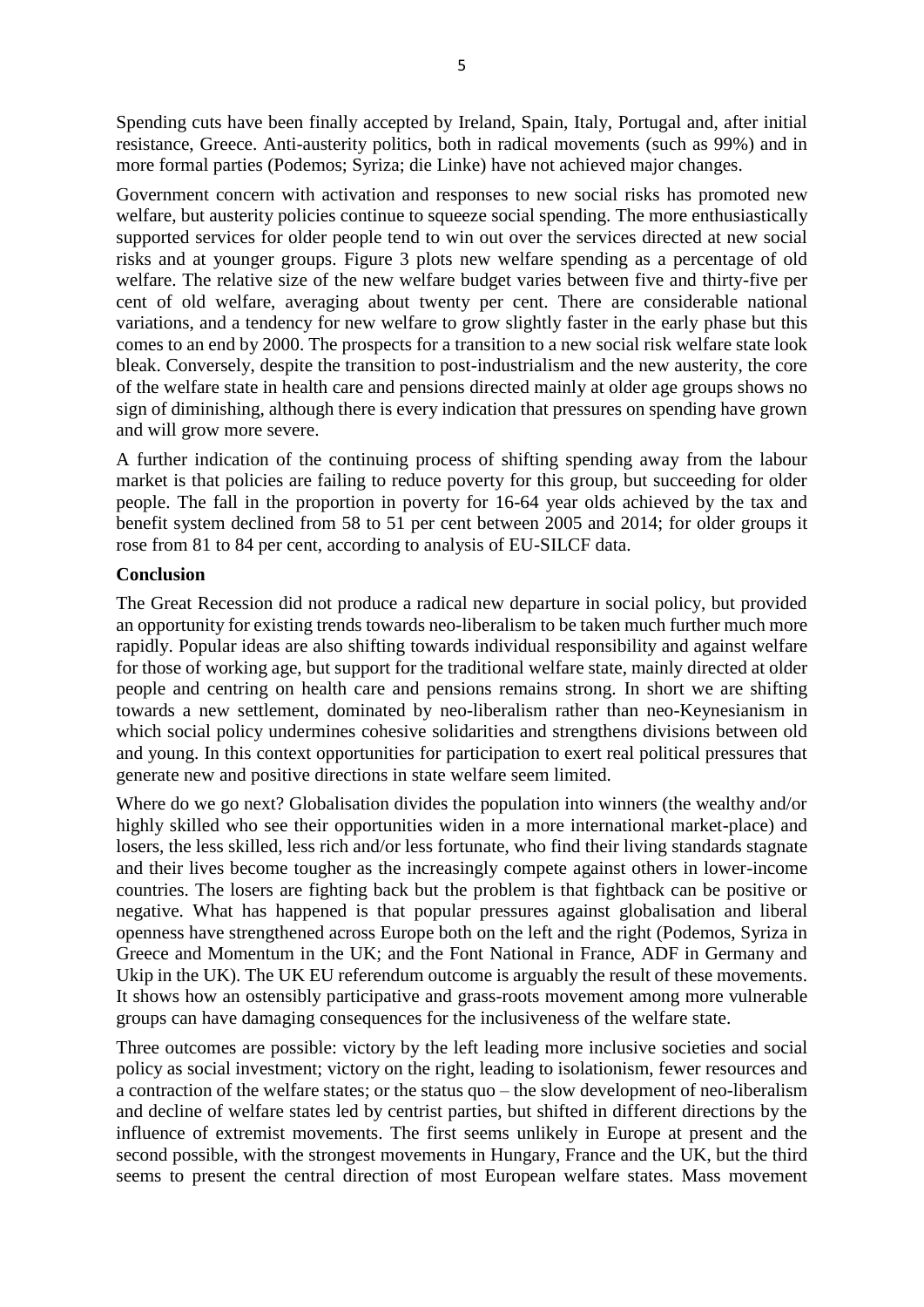Spending cuts have been finally accepted by Ireland, Spain, Italy, Portugal and, after initial resistance, Greece. Anti-austerity politics, both in radical movements (such as 99%) and in more formal parties (Podemos; Syriza; die Linke) have not achieved major changes.

Government concern with activation and responses to new social risks has promoted new welfare, but austerity policies continue to squeeze social spending. The more enthusiastically supported services for older people tend to win out over the services directed at new social risks and at younger groups. Figure 3 plots new welfare spending as a percentage of old welfare. The relative size of the new welfare budget varies between five and thirty-five per cent of old welfare, averaging about twenty per cent. There are considerable national variations, and a tendency for new welfare to grow slightly faster in the early phase but this comes to an end by 2000. The prospects for a transition to a new social risk welfare state look bleak. Conversely, despite the transition to post-industrialism and the new austerity, the core of the welfare state in health care and pensions directed mainly at older age groups shows no sign of diminishing, although there is every indication that pressures on spending have grown and will grow more severe.

A further indication of the continuing process of shifting spending away from the labour market is that policies are failing to reduce poverty for this group, but succeeding for older people. The fall in the proportion in poverty for 16-64 year olds achieved by the tax and benefit system declined from 58 to 51 per cent between 2005 and 2014; for older groups it rose from 81 to 84 per cent, according to analysis of EU-SILCF data.

#### **Conclusion**

The Great Recession did not produce a radical new departure in social policy, but provided an opportunity for existing trends towards neo-liberalism to be taken much further much more rapidly. Popular ideas are also shifting towards individual responsibility and against welfare for those of working age, but support for the traditional welfare state, mainly directed at older people and centring on health care and pensions remains strong. In short we are shifting towards a new settlement, dominated by neo-liberalism rather than neo-Keynesianism in which social policy undermines cohesive solidarities and strengthens divisions between old and young. In this context opportunities for participation to exert real political pressures that generate new and positive directions in state welfare seem limited.

Where do we go next? Globalisation divides the population into winners (the wealthy and/or highly skilled who see their opportunities widen in a more international market-place) and losers, the less skilled, less rich and/or less fortunate, who find their living standards stagnate and their lives become tougher as the increasingly compete against others in lower-income countries. The losers are fighting back but the problem is that fightback can be positive or negative. What has happened is that popular pressures against globalisation and liberal openness have strengthened across Europe both on the left and the right (Podemos, Syriza in Greece and Momentum in the UK; and the Font National in France, ADF in Germany and Ukip in the UK). The UK EU referendum outcome is arguably the result of these movements. It shows how an ostensibly participative and grass-roots movement among more vulnerable groups can have damaging consequences for the inclusiveness of the welfare state.

Three outcomes are possible: victory by the left leading more inclusive societies and social policy as social investment; victory on the right, leading to isolationism, fewer resources and a contraction of the welfare states; or the status quo – the slow development of neo-liberalism and decline of welfare states led by centrist parties, but shifted in different directions by the influence of extremist movements. The first seems unlikely in Europe at present and the second possible, with the strongest movements in Hungary, France and the UK, but the third seems to present the central direction of most European welfare states. Mass movement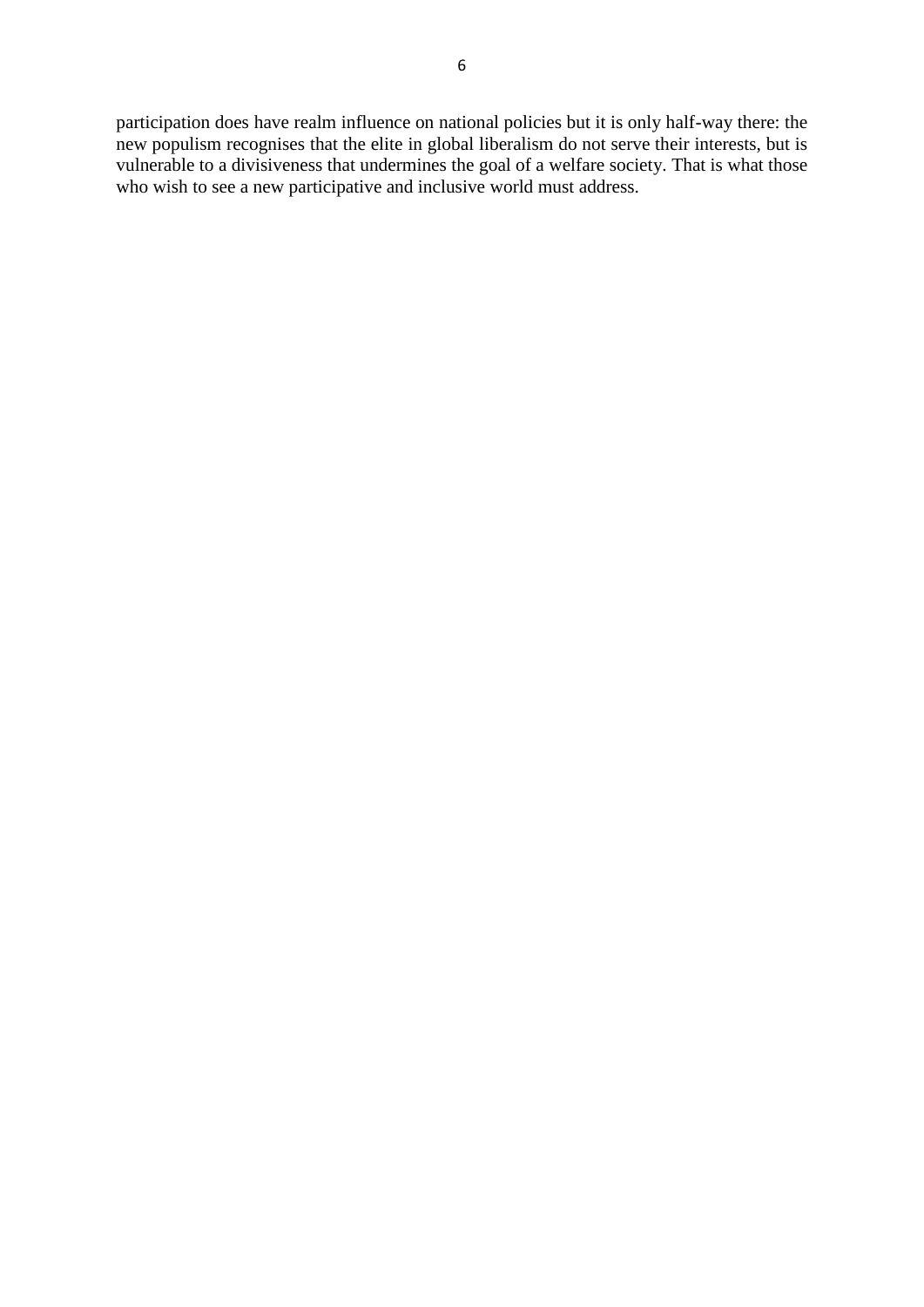participation does have realm influence on national policies but it is only half-way there: the new populism recognises that the elite in global liberalism do not serve their interests, but is vulnerable to a divisiveness that undermines the goal of a welfare society. That is what those who wish to see a new participative and inclusive world must address.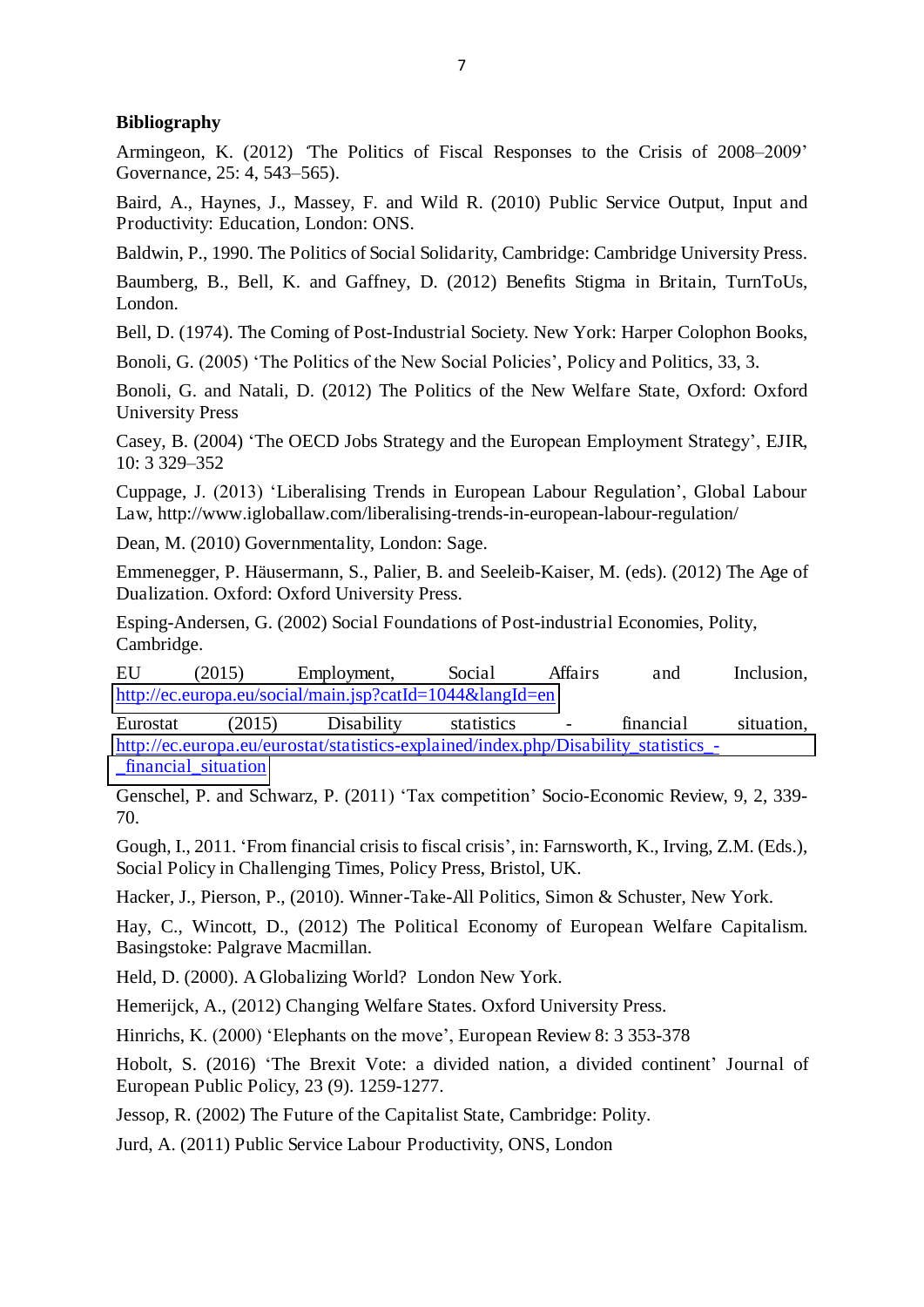#### **Bibliography**

Armingeon, K. (2012) *'*The Politics of Fiscal Responses to the Crisis of 2008–2009' Governance, 25: 4, 543–565).

Baird, A., Haynes, J., Massey, F. and Wild R. (2010) Public Service Output, Input and Productivity: Education, London: ONS.

Baldwin, P., 1990. The Politics of Social Solidarity, Cambridge: Cambridge University Press.

Baumberg, B., Bell, K. and Gaffney, D. (2012) Benefits Stigma in Britain, TurnToUs, London.

Bell, D. (1974). The Coming of Post-Industrial Society. New York: Harper Colophon Books,

Bonoli, G. (2005) 'The Politics of the New Social Policies', Policy and Politics, 33, 3.

Bonoli, G. and Natali, D. (2012) The Politics of the New Welfare State, Oxford: Oxford University Press

Casey, B. (2004) 'The OECD Jobs Strategy and the European Employment Strategy', EJIR, 10: 3 329–352

Cuppage, J. (2013) 'Liberalising Trends in European Labour Regulation', Global Labour Law, http://www.igloballaw.com/liberalising-trends-in-european-labour-regulation/

Dean, M. (2010) Governmentality, London: Sage.

Emmenegger, P. Häusermann, S., Palier, B. and Seeleib-Kaiser, M. (eds). (2012) The Age of Dualization. Oxford: Oxford University Press.

Esping-Andersen, G. (2002) Social Foundations of Post-industrial Economies, Polity, Cambridge.

EU (2015) Employment, Social Affairs and Inclusion, <http://ec.europa.eu/social/main.jsp?catId=1044&langId=en>

Eurostat (2015) Disability statistics - financial situation, [http://ec.europa.eu/eurostat/statistics-explained/index.php/Disability\\_statistics\\_-](http://ec.europa.eu/eurostat/statistics-explained/index.php/Disability_statistics_-_financial_situation) [\\_financial\\_situation](http://ec.europa.eu/eurostat/statistics-explained/index.php/Disability_statistics_-_financial_situation) 

Genschel, P. and Schwarz, P. (2011) 'Tax competition' Socio-Economic Review, 9, 2, 339- 70.

Gough, I., 2011. 'From financial crisis to fiscal crisis', in: Farnsworth, K., Irving, Z.M. (Eds.), Social Policy in Challenging Times, Policy Press, Bristol, UK.

Hacker, J., Pierson, P., (2010). Winner-Take-All Politics, Simon & Schuster, New York.

Hay, C., Wincott, D., (2012) The Political Economy of European Welfare Capitalism. Basingstoke: Palgrave Macmillan.

Held, D. (2000). A Globalizing World? London New York.

Hemerijck, A., (2012) Changing Welfare States. Oxford University Press.

Hinrichs, K. (2000) 'Elephants on the move', European Review 8: 3 353-378

Hobolt, S. (2016) 'The Brexit Vote: a divided nation, a divided continent' Journal of European Public Policy, 23 (9). 1259-1277.

Jessop, R. (2002) The Future of the Capitalist State, Cambridge: Polity.

Jurd, A. (2011) Public Service Labour Productivity, ONS, London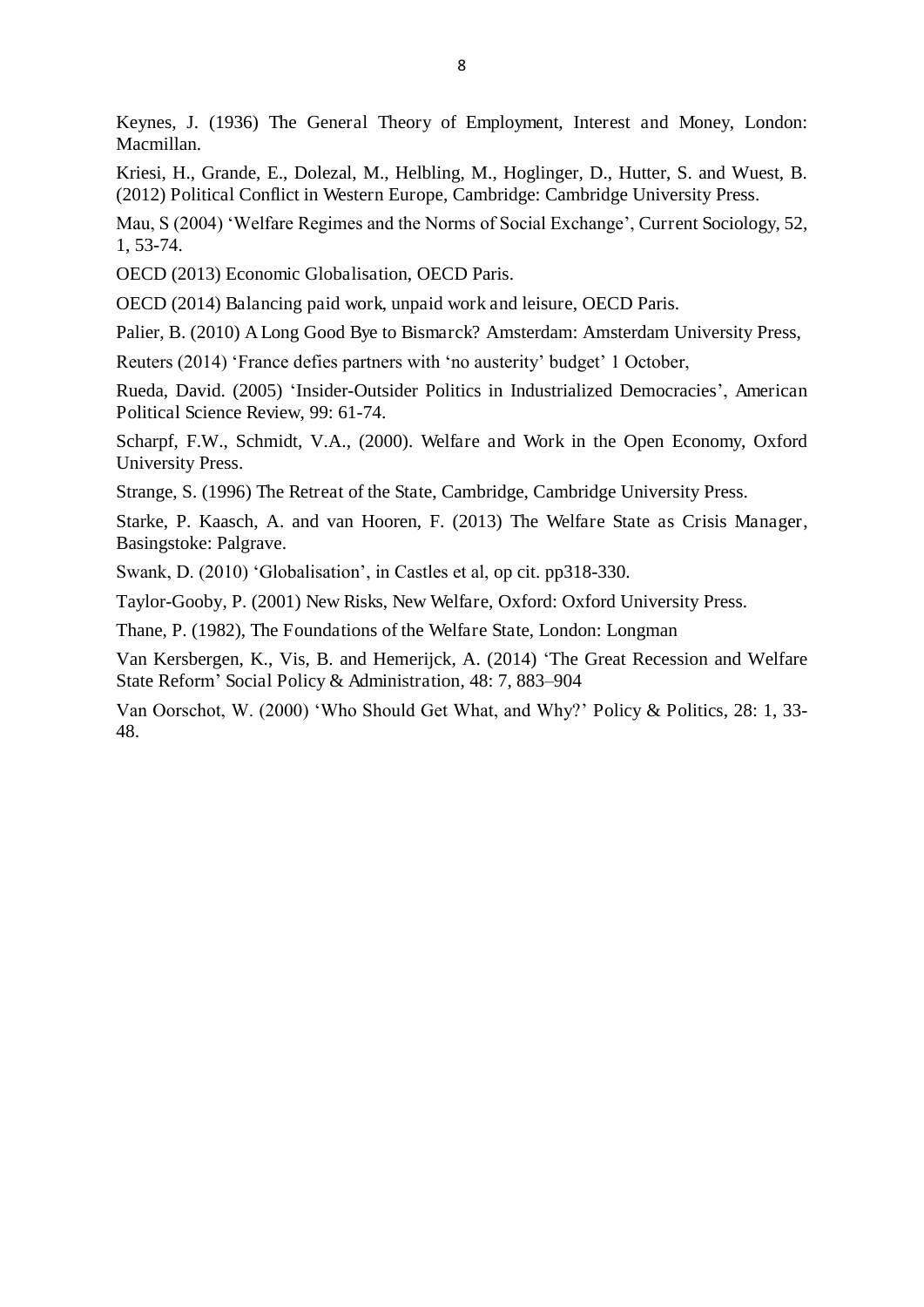Keynes, J. (1936) The General Theory of Employment, Interest and Money, London: Macmillan.

Kriesi, H., Grande, E., Dolezal, M., Helbling, M., Hoglinger, D., Hutter, S. and Wuest, B. (2012) Political Conflict in Western Europe, Cambridge: Cambridge University Press.

Mau, S (2004) 'Welfare Regimes and the Norms of Social Exchange', Current Sociology, 52, 1, 53-74.

OECD (2013) Economic Globalisation, OECD Paris.

OECD (2014) Balancing paid work, unpaid work and leisure, OECD Paris.

Palier, B. (2010) A Long Good Bye to Bismarck? Amsterdam: Amsterdam University Press,

Reuters (2014) 'France defies partners with 'no austerity' budget' 1 October,

Rueda, David. (2005) 'Insider-Outsider Politics in Industrialized Democracies', American Political Science Review, 99: 61-74.

Scharpf, F.W., Schmidt, V.A., (2000). Welfare and Work in the Open Economy, Oxford University Press.

Strange, S. (1996) The Retreat of the State, Cambridge, Cambridge University Press.

Starke, P. Kaasch, A. and van Hooren, F. (2013) The Welfare State as Crisis Manager, Basingstoke: Palgrave.

Swank, D. (2010) 'Globalisation', in Castles et al, op cit. pp318-330.

Taylor-Gooby, P. (2001) New Risks, New Welfare, Oxford: Oxford University Press.

Thane, P. (1982), The Foundations of the Welfare State, London: Longman

Van Kersbergen, K., Vis, B. and Hemerijck, A. (2014) 'The Great Recession and Welfare State Reform' Social Policy & Administration, 48: 7, 883–904

Van Oorschot, W. (2000) 'Who Should Get What, and Why?' Policy & Politics, 28: 1, 33- 48.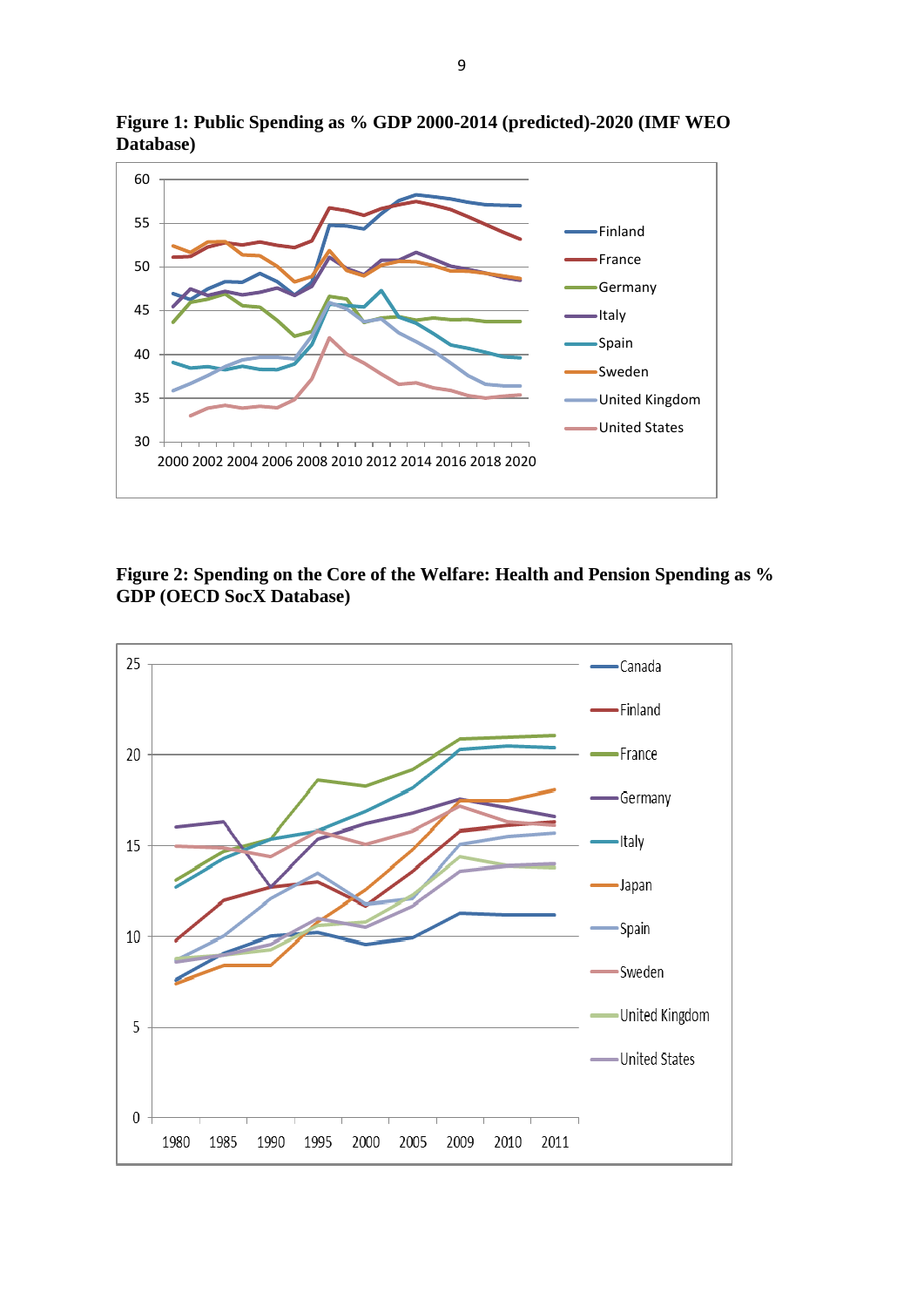

**Figure 1: Public Spending as % GDP 2000-2014 (predicted)-2020 (IMF WEO Database)** 

### **Figure 2: Spending on the Core of the Welfare: Health and Pension Spending as % GDP (OECD SocX Database)**